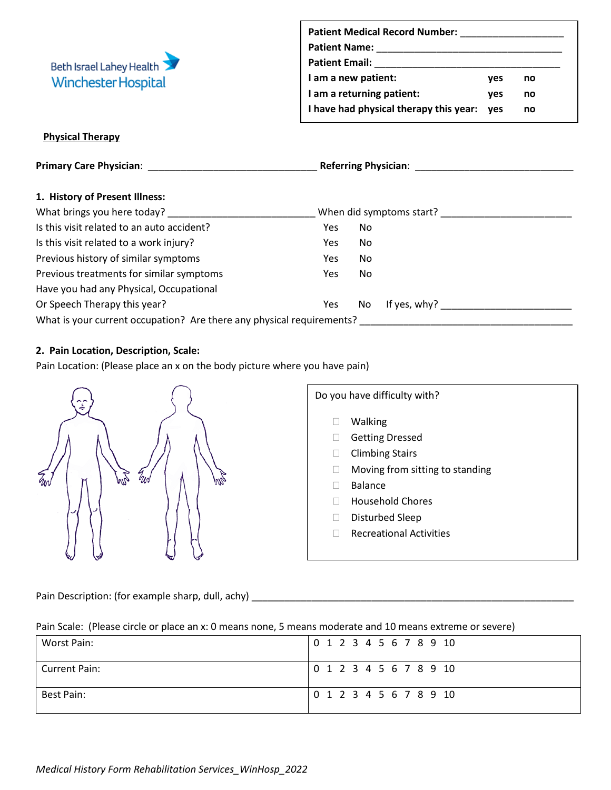

| <b>Patient Medical Record Number:</b>  |            |    |  |  |
|----------------------------------------|------------|----|--|--|
| <b>Patient Name:</b>                   |            |    |  |  |
| <b>Patient Email:</b>                  |            |    |  |  |
| I am a new patient:                    | ves        | no |  |  |
| I am a returning patient:              | ves        | no |  |  |
| I have had physical therapy this year: | <b>ves</b> | no |  |  |

## **Physical Therapy**

| <b>Primary Care Physician: Example 2014</b>                           |            | <b>Referring Physician:</b> Network of the Second Second Second Second Second Second Second Second Second Second Second Second Second Second Second Second Second Second Second Second Second Second Second Second Second Second Se |                          |  |  |
|-----------------------------------------------------------------------|------------|-------------------------------------------------------------------------------------------------------------------------------------------------------------------------------------------------------------------------------------|--------------------------|--|--|
|                                                                       |            |                                                                                                                                                                                                                                     |                          |  |  |
| 1. History of Present Illness:                                        |            |                                                                                                                                                                                                                                     |                          |  |  |
| What brings you here today?                                           |            |                                                                                                                                                                                                                                     | When did symptoms start? |  |  |
| Is this visit related to an auto accident?                            | Yes        | No                                                                                                                                                                                                                                  |                          |  |  |
| Is this visit related to a work injury?                               | <b>Yes</b> | No.                                                                                                                                                                                                                                 |                          |  |  |
| Previous history of similar symptoms                                  | <b>Yes</b> | No.                                                                                                                                                                                                                                 |                          |  |  |
| Previous treatments for similar symptoms                              | <b>Yes</b> | No.                                                                                                                                                                                                                                 |                          |  |  |
| Have you had any Physical, Occupational                               |            |                                                                                                                                                                                                                                     |                          |  |  |
| Or Speech Therapy this year?                                          | Yes        | No.                                                                                                                                                                                                                                 | If yes, $why$ ?          |  |  |
| What is your current occupation? Are there any physical requirements? |            |                                                                                                                                                                                                                                     |                          |  |  |

# **2. Pain Location, Description, Scale:**

Pain Location: (Please place an x on the body picture where you have pain)



Pain Description: (for example sharp, dull, achy) \_\_\_\_\_\_\_\_\_\_\_\_\_\_\_\_\_\_\_\_\_\_\_\_\_\_\_\_\_\_\_\_\_\_\_\_\_\_\_\_\_\_\_\_\_\_\_\_\_\_\_\_\_\_\_\_\_\_\_

Pain Scale: (Please circle or place an x: 0 means none, 5 means moderate and 10 means extreme or severe)

| Worst Pain:   | 0 1 2 3 4 5 6 7 8 9 10 |
|---------------|------------------------|
| Current Pain: | 0 1 2 3 4 5 6 7 8 9 10 |
| Best Pain:    | 0 1 2 3 4 5 6 7 8 9 10 |